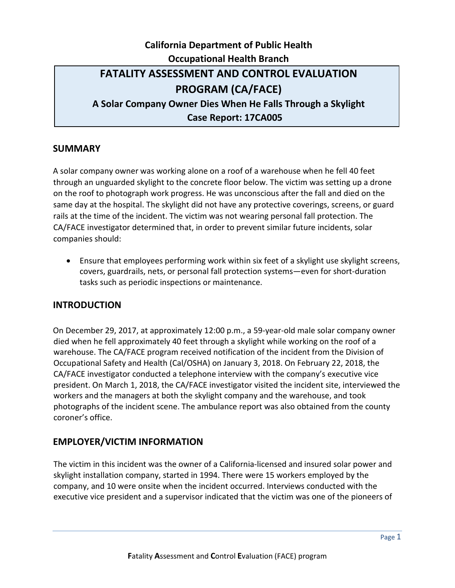# **California Department of Public Health Occupational Health Branch FATALITY ASSESSMENT AND CONTROL EVALUATION PROGRAM (CA/FACE) A Solar Company Owner Dies When He Falls Through a Skylight Case Report: 17CA005**

### **SUMMARY**

A solar company owner was working alone on a roof of a warehouse when he fell 40 feet through an unguarded skylight to the concrete floor below. The victim was setting up a drone on the roof to photograph work progress. He was unconscious after the fall and died on the same day at the hospital. The skylight did not have any protective coverings, screens, or guard rails at the time of the incident. The victim was not wearing personal fall protection. The CA/FACE investigator determined that, in order to prevent similar future incidents, solar companies should:

• Ensure that employees performing work within six feet of a skylight use skylight screens, covers, guardrails, nets, or personal fall protection systems—even for short-duration tasks such as periodic inspections or maintenance.

### **INTRODUCTION**

On December 29, 2017, at approximately 12:00 p.m., a 59-year-old male solar company owner died when he fell approximately 40 feet through a skylight while working on the roof of a warehouse. The CA/FACE program received notification of the incident from the Division of Occupational Safety and Health (Cal/OSHA) on January 3, 2018. On February 22, 2018, the CA/FACE investigator conducted a telephone interview with the company's executive vice president. On March 1, 2018, the CA/FACE investigator visited the incident site, interviewed the workers and the managers at both the skylight company and the warehouse, and took photographs of the incident scene. The ambulance report was also obtained from the county coroner's office.

## **EMPLOYER/VICTIM INFORMATION**

The victim in this incident was the owner of a California-licensed and insured solar power and skylight installation company, started in 1994. There were 15 workers employed by the company, and 10 were onsite when the incident occurred. Interviews conducted with the executive vice president and a supervisor indicated that the victim was one of the pioneers of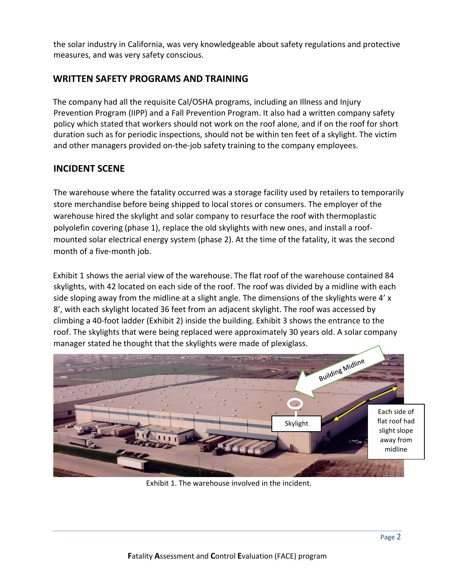the solar industry in California, was very knowledgeable about safety regulations and protective measures, and was very safety conscious.

## **WRITTEN SAFETY PROGRAMS AND TRAINING**

The company had all the requisite Cal/OSHA programs, including an Illness and Injury Prevention Program (IIPP) and a Fall Prevention Program. It also had a written company safety policy which stated that workers should not work on the roof alone, and if on the roof for short duration such as for periodic inspections, should not be within ten feet of a skylight. The victim and other managers provided on-the-job safety training to the company employees.

## **INCIDENT SCENE**

The warehouse where the fatality occurred was a storage facility used by retailers to temporarily store merchandise before being shipped to local stores or consumers. The employer of the warehouse hired the skylight and solar company to resurface the roof with thermoplastic polyolefin covering (phase 1), replace the old skylights with new ones, and install a roofmounted solar electrical energy system (phase 2). At the time of the fatality, it was the second month of a five-month job.

Exhibit 1 shows the aerial view of the warehouse. The flat roof of the warehouse contained 84 skylights, with 42 located on each side of the roof. The roof was divided by a midline with each side sloping away from the midline at a slight angle. The dimensions of the skylights were 4' x 8', with each skylight located 36 feet from an adjacent skylight. The roof was accessed by climbing a 40-foot ladder (Exhibit 2) inside the building. Exhibit 3 shows the entrance to the roof. The skylights that were being replaced were approximately 30 years old. A solar company manager stated he thought that the skylights were made of plexiglass.



Exhibit 1. The warehouse involved in the incident.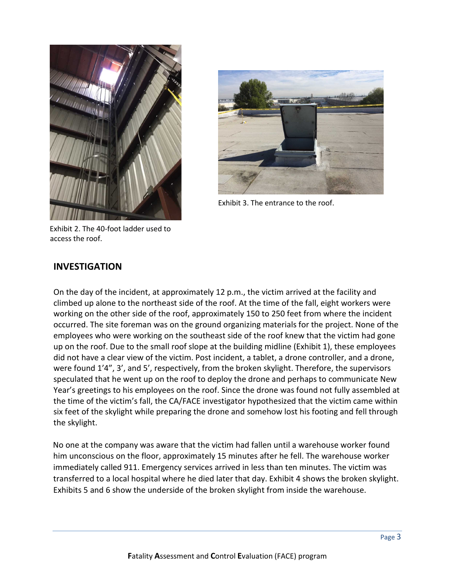



Exhibit 3. The entrance to the roof.

Exhibit 2. The 40-foot ladder used to access the roof.

### **INVESTIGATION**

On the day of the incident, at approximately 12 p.m., the victim arrived at the facility and climbed up alone to the northeast side of the roof. At the time of the fall, eight workers were working on the other side of the roof, approximately 150 to 250 feet from where the incident occurred. The site foreman was on the ground organizing materials for the project. None of the employees who were working on the southeast side of the roof knew that the victim had gone up on the roof. Due to the small roof slope at the building midline (Exhibit 1), these employees did not have a clear view of the victim. Post incident, a tablet, a drone controller, and a drone, were found 1'4", 3', and 5', respectively, from the broken skylight. Therefore, the supervisors speculated that he went up on the roof to deploy the drone and perhaps to communicate New Year's greetings to his employees on the roof. Since the drone was found not fully assembled at the time of the victim's fall, the CA/FACE investigator hypothesized that the victim came within six feet of the skylight while preparing the drone and somehow lost his footing and fell through the skylight.

No one at the company was aware that the victim had fallen until a warehouse worker found him unconscious on the floor, approximately 15 minutes after he fell. The warehouse worker immediately called 911. Emergency services arrived in less than ten minutes. The victim was transferred to a local hospital where he died later that day. Exhibit 4 shows the broken skylight. Exhibits 5 and 6 show the underside of the broken skylight from inside the warehouse.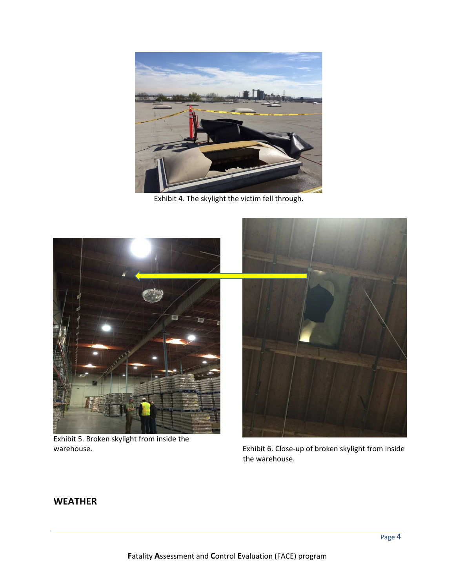

Exhibit 4. The skylight the victim fell through.



Exhibit 5. Broken skylight from inside the warehouse.

Exhibit 6. Close-up of broken skylight from inside the warehouse.

## **WEATHER**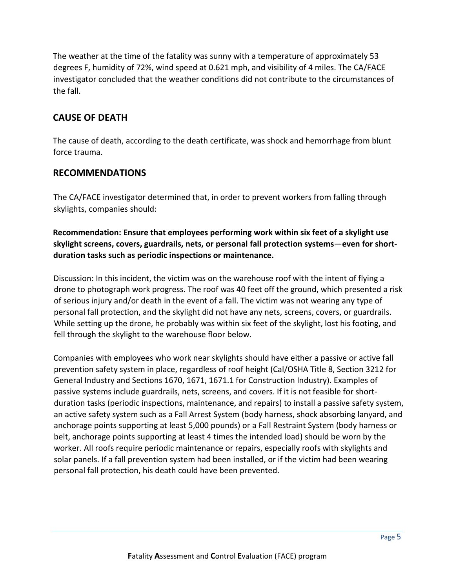The weather at the time of the fatality was sunny with a temperature of approximately 53 degrees F, humidity of 72%, wind speed at 0.621 mph, and visibility of 4 miles. The CA/FACE investigator concluded that the weather conditions did not contribute to the circumstances of the fall.

## **CAUSE OF DEATH**

The cause of death, according to the death certificate, was shock and hemorrhage from blunt force trauma.

#### **RECOMMENDATIONS**

The CA/FACE investigator determined that, in order to prevent workers from falling through skylights, companies should:

**Recommendation: Ensure that employees performing work within six feet of a skylight use skylight screens, covers, guardrails, nets, or personal fall protection systems**—**even for shortduration tasks such as periodic inspections or maintenance.** 

Discussion: In this incident, the victim was on the warehouse roof with the intent of flying a drone to photograph work progress. The roof was 40 feet off the ground, which presented a risk of serious injury and/or death in the event of a fall. The victim was not wearing any type of personal fall protection, and the skylight did not have any nets, screens, covers, or guardrails. While setting up the drone, he probably was within six feet of the skylight, lost his footing, and fell through the skylight to the warehouse floor below.

Companies with employees who work near skylights should have either a passive or active fall prevention safety system in place, regardless of roof height (Cal/OSHA Title 8, Section 3212 for General Industry and Sections 1670, 1671, 1671.1 for Construction Industry). Examples of passive systems include guardrails, nets, screens, and covers. If it is not feasible for shortduration tasks (periodic inspections, maintenance, and repairs) to install a passive safety system, an active safety system such as a Fall Arrest System (body harness, shock absorbing lanyard, and anchorage points supporting at least 5,000 pounds) or a Fall Restraint System (body harness or belt, anchorage points supporting at least 4 times the intended load) should be worn by the worker. All roofs require periodic maintenance or repairs, especially roofs with skylights and solar panels. If a fall prevention system had been installed, or if the victim had been wearing personal fall protection, his death could have been prevented.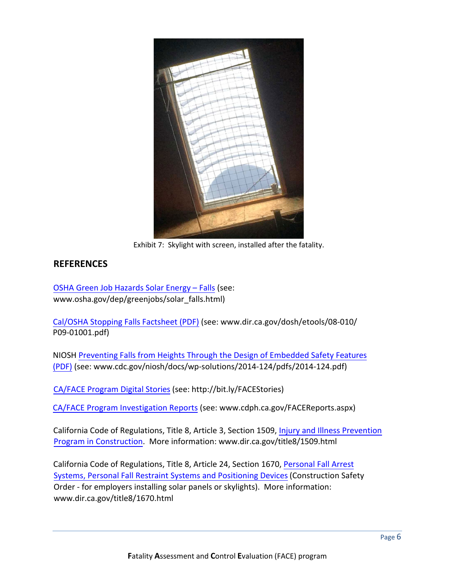

Exhibit 7: Skylight with screen, installed after the fatality.

### **REFERENCES**

OSHA Green Job [Hazards](https://www.osha.gov/dep/greenjobs/solar_falls.html) Solar Energy – Falls (see: www.osha.gov/dep/greenjobs/solar\_falls.html)

[Cal/OSHA](www.dir.ca.gov/dosh/etools/08-010/P09-01001.pdf) Stopping Falls Factsheet (PDF) (see: www.dir.ca.gov/dosh/etools/08-010/ P09-01001.pdf)

NIOSH Preventing Falls from Heights Through the Design of Embedded Safety Features (PDF) (see: [www.cdc.gov/niosh/docs/wp-solutions/2014-124/pdfs/2014-124.pdf](https://www.cdc.gov/niosh/docs/wp-solutions/2014-124/pdfs/2014-124.pdf))

[CA/FACE](http://bit.ly/FACEStories) Program Digital Stories (see: http://bit.ly/FACEStories)

CA/FACE Program [Investigation](https://www.cdph.ca.gov/FACEReports.aspx) Reports (see: www.cdph.ca.gov/FACEReports.aspx)

[California Code of Regulations, Title 8, Article 3,](https://www.dir.ca.gov/title8/1509.html) Section 1509, Injury and Illness Prevention Program in Construction. More information: www.dir.ca.gov/title8/1509.html

[California Code of Regulations, Title 8, Article 24,](https://www.dir.ca.gov/title8/1670.html) Section 1670, Personal Fall Arrest Systems, Personal Fall Restraint Systems and Positioning Devices(Construction Safety Order - for employers installing solar panels or skylights). More information: www.dir.ca.gov/title8/1670.html